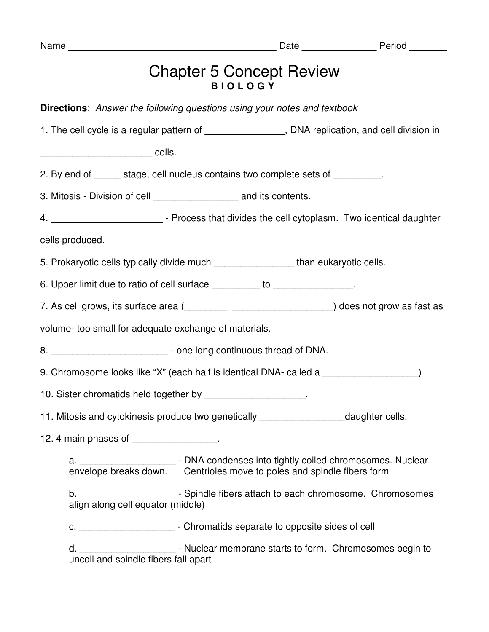| Name                                                                                                                                                            |                                                   | Date Period |
|-----------------------------------------------------------------------------------------------------------------------------------------------------------------|---------------------------------------------------|-------------|
|                                                                                                                                                                 | <b>Chapter 5 Concept Review</b><br><b>BIOLOGY</b> |             |
| <b>Directions:</b> Answer the following questions using your notes and textbook                                                                                 |                                                   |             |
| 1. The cell cycle is a regular pattern of __________________, DNA replication, and cell division in                                                             |                                                   |             |
|                                                                                                                                                                 |                                                   |             |
| 2. By end of ______ stage, cell nucleus contains two complete sets of _________.                                                                                |                                                   |             |
| 3. Mitosis - Division of cell _________________________ and its contents.                                                                                       |                                                   |             |
| 4. _______________________________- Process that divides the cell cytoplasm. Two identical daughter                                                             |                                                   |             |
| cells produced.                                                                                                                                                 |                                                   |             |
| 5. Prokaryotic cells typically divide much __________________than eukaryotic cells.                                                                             |                                                   |             |
| 6. Upper limit due to ratio of cell surface _________ to ______________.                                                                                        |                                                   |             |
|                                                                                                                                                                 |                                                   |             |
| volume- too small for adequate exchange of materials.                                                                                                           |                                                   |             |
| 8. ______________________________- - one long continuous thread of DNA.                                                                                         |                                                   |             |
| 9. Chromosome looks like "X" (each half is identical DNA- called a                                                                                              |                                                   |             |
| 10. Sister chromatids held together by _______________________.                                                                                                 |                                                   |             |
| 11. Mitosis and cytokinesis produce two genetically ______________________daughter cells.                                                                       |                                                   |             |
| 12. 4 main phases of ________________.                                                                                                                          |                                                   |             |
| a. _____________________________- DNA condenses into tightly coiled chromosomes. Nuclear envelope breaks down. Centrioles move to poles and spindle fibers form |                                                   |             |
| b. ___________________________- Spindle fibers attach to each chromosome. Chromosomes<br>align along cell equator (middle)                                      |                                                   |             |
| c. ____________________________- Chromatids separate to opposite sides of cell                                                                                  |                                                   |             |
| d. ____________________________- Nuclear membrane starts to form. Chromosomes begin to<br>uncoil and spindle fibers fall apart                                  |                                                   |             |